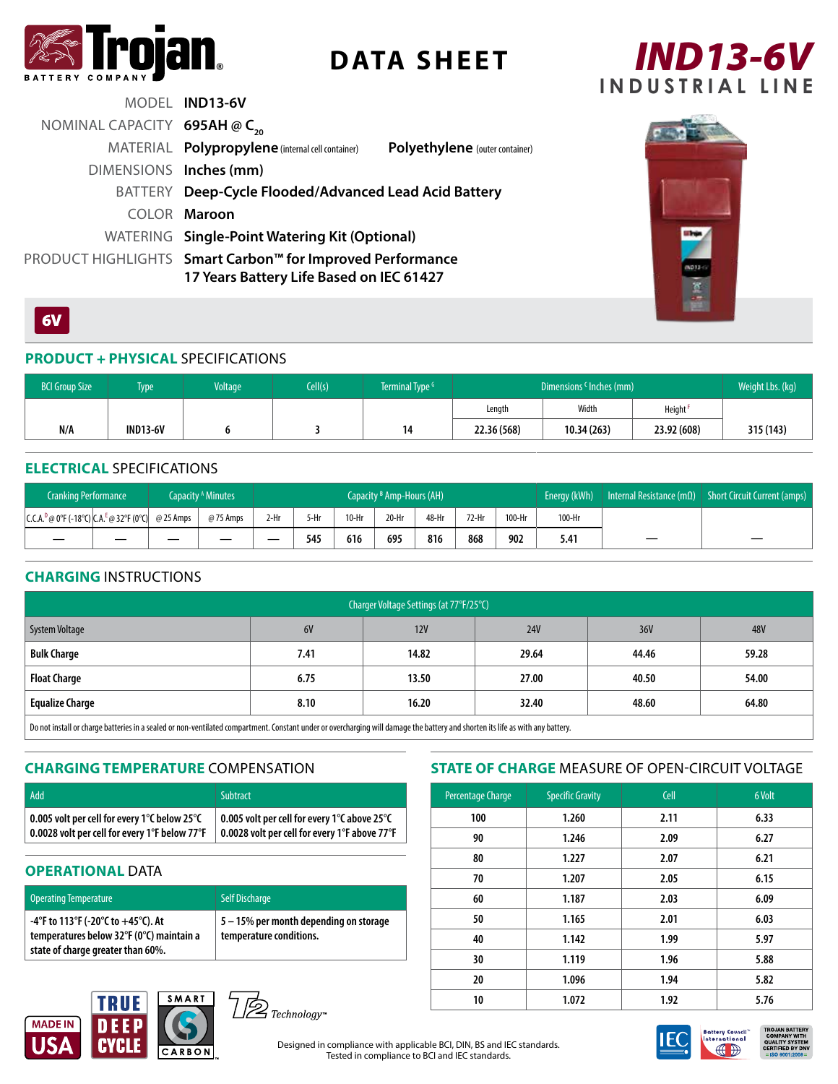

# **DATA SHEET**



|                                  | MODEL IND13-6V                                                                                        |                                |
|----------------------------------|-------------------------------------------------------------------------------------------------------|--------------------------------|
| NOMINAL CAPACITY 695AH $@C_{20}$ |                                                                                                       |                                |
|                                  | MATERIAL Polypropylene (internal cell container)                                                      | Polyethylene (outer container) |
| DIMENSIONS Inches (mm)           |                                                                                                       |                                |
|                                  | BATTERY Deep-Cycle Flooded/Advanced Lead Acid Battery                                                 |                                |
|                                  | COLOR Maroon                                                                                          |                                |
|                                  | WATERING Single-Point Watering Kit (Optional)                                                         |                                |
|                                  | PRODUCT HIGHLIGHTS Smart Carbon™ for Improved Performance<br>17 Years Battery Life Based on IEC 61427 |                                |



### $6V$

### **PRODUCT + PHYSICAL** SPECIFICATIONS

| <b>BCI Group Size</b> | <b>Type</b>     | <b>Voltage</b> | Cell(s) | Terminal Type <sup>G</sup> | Dimensions <sup>c</sup> Inches (mm) |            |               | Weight Lbs. (kg) |
|-----------------------|-----------------|----------------|---------|----------------------------|-------------------------------------|------------|---------------|------------------|
|                       |                 |                |         |                            | Length                              | Width      | <b>Height</b> |                  |
| N/A                   | <b>IND13-6V</b> |                |         | 14                         | 22.36 (568)                         | 10.34(263) | 23.92 (608)   | 315 (143)        |

### **ELECTRICAL** SPECIFICATIONS

| <b>Cranking Performance</b>                           |    | Capacity <sup>A</sup> Minutes | Capacity <sup>B</sup> Amp-Hours (AH) |      |         |         |       |       | Energy (kWh) | Internal Resistance (m $\Omega$ ) | <b>Short Circuit Current (amps)</b> |    |
|-------------------------------------------------------|----|-------------------------------|--------------------------------------|------|---------|---------|-------|-------|--------------|-----------------------------------|-------------------------------------|----|
| $ C.C.A.^D@0^cF(-18^cC) CA.^E@32^cF(0^cC) $ @ 25 Amps |    | @75 Amps                      | 2-Hr                                 | 5-Hr | $10-Hr$ | $20-Hr$ | 48-Hr | 72-Hr | 100-Hr       | 100-Hr                            |                                     |    |
|                                                       | __ | _                             | __                                   | 545  | 616     | 695     | 816   | 868   | 902          | 5.41                              | __                                  | __ |

### **CHARGING** INSTRUCTIONS

| Charger Voltage Settings (at 77°F/25°C)                                                                                                                                          |      |       |            |       |            |  |  |  |
|----------------------------------------------------------------------------------------------------------------------------------------------------------------------------------|------|-------|------------|-------|------------|--|--|--|
| System Voltage                                                                                                                                                                   | 6V   | 12V   | <b>24V</b> | 36V   | <b>48V</b> |  |  |  |
| <b>Bulk Charge</b>                                                                                                                                                               | 7.41 | 14.82 | 29.64      | 44.46 | 59.28      |  |  |  |
| <b>Float Charge</b>                                                                                                                                                              | 6.75 | 13.50 | 27.00      | 40.50 | 54.00      |  |  |  |
| <b>Equalize Charge</b>                                                                                                                                                           | 8.10 | 16.20 | 32.40      | 48.60 | 64.80      |  |  |  |
| . Do not inctall or charge batteries in a scaled or non-ventilated compartment. Constant under or overcharging will damage the hattery and shorten its life as with any hattery. |      |       |            |       |            |  |  |  |

Do not install or charge batteries in a sealed or non-ventilated compartment. Constant under or overcharging will damage the battery and shorten its life as with any battery.

### **CHARGING TEMPERATURE** COMPENSATION

| Add                                                        | <b>Subtract</b>                               |
|------------------------------------------------------------|-----------------------------------------------|
| $\mid$ 0.005 volt per cell for every 1°C below 25°C $\mid$ | 0.005 volt per cell for every 1°C above 25°C  |
| 0.0028 volt per cell for every 1°F below 77°F              | 0.0028 volt per cell for every 1°F above 77°F |

### **OPERATIONAL DATA**

| <b>Operating Temperature</b>                                                                                           | <b>Self Discharge</b>                                             |
|------------------------------------------------------------------------------------------------------------------------|-------------------------------------------------------------------|
| -4°F to 113°F (-20°C to $+45$ °C). At<br>temperatures below 32°F (0°C) maintain a<br>state of charge greater than 60%. | 5 - 15% per month depending on storage<br>temperature conditions. |

### **STATE OF CHARGE** MEASURE OF OPEN-CIRCUIT VOLTAGE

| Percentage Charge | <b>Specific Gravity</b> | <b>Cell</b> | 6 Volt |  |
|-------------------|-------------------------|-------------|--------|--|
| 100               | 1.260                   | 2.11        | 6.33   |  |
| 90                | 1.246                   | 2.09        | 6.27   |  |
| 80                | 1.227                   | 2.07        | 6.21   |  |
| 70                | 1.207                   | 2.05        | 6.15   |  |
| 60                | 1.187                   | 2.03        | 6.09   |  |
| 50                | 1.165                   | 2.01        | 6.03   |  |
| 40                | 1.142                   | 1.99        | 5.97   |  |
| 30                | 1.119                   | 1.96        | 5.88   |  |
| 20                | 1.096                   | 1.94        | 5.82   |  |
| 10                | 1.072                   | 1.92        | 5.76   |  |





Designed in compliance with applicable BCI, DIN, BS and IEC standards. Tested in compliance to BCI and IEC standards.



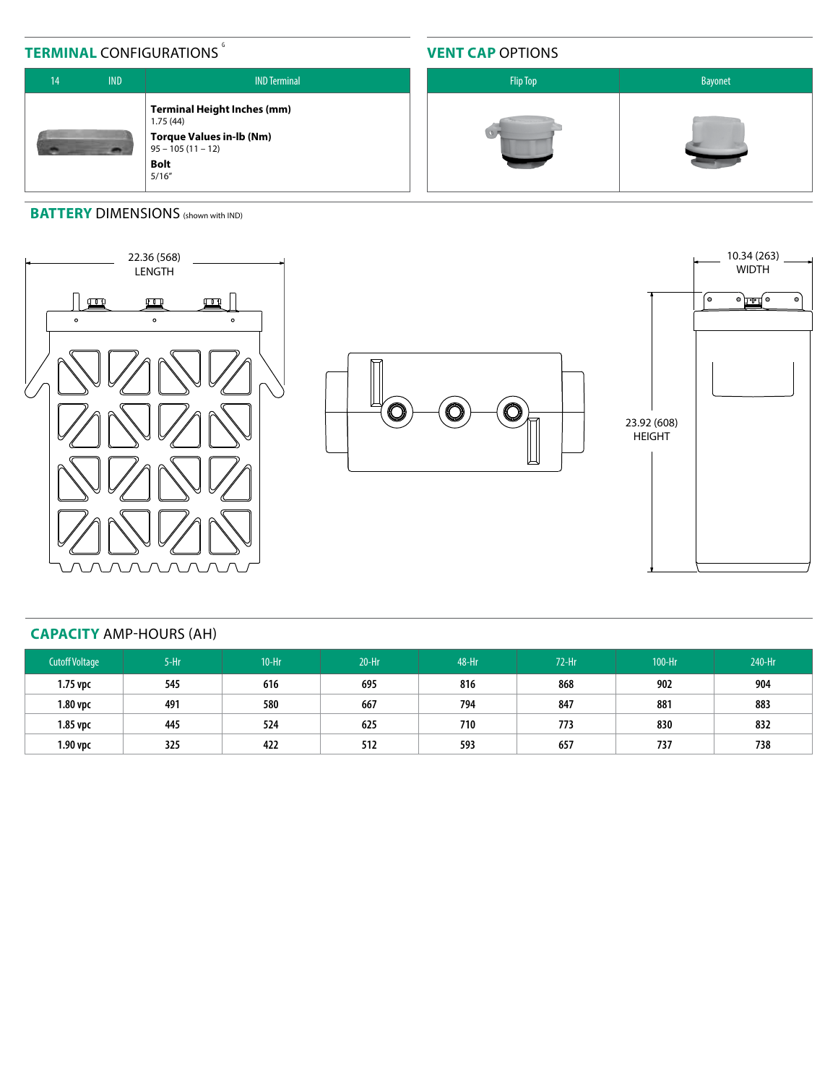## **TERMINAL CONFIGURATIONS**

### **VENT CAP** OPTIONS



### **BATTERY DIMENSIONS** (shown with IND)







### **CAPACITY** AMP-HOURS (AH)

| <b>Cutoff Voltage</b> | $5-Hr$ | $10-Hr$ | $20-Hr$ | 48-Hr | $72-Hr$ | 100-Hr | 240-Hr |
|-----------------------|--------|---------|---------|-------|---------|--------|--------|
| $1.75$ vpc            | 545    | 616     | 695     | 816   | 868     | 902    | 904    |
| 1.80 vpc              | 491    | 580     | 667     | 794   | 847     | 881    | 883    |
| $1.85$ vpc            | 445    | 524     | 625     | 710   | 773     | 830    | 832    |
| $1.90$ vpc            | 325    | 422     | 512     | 593   | 657     | 737    | 738    |